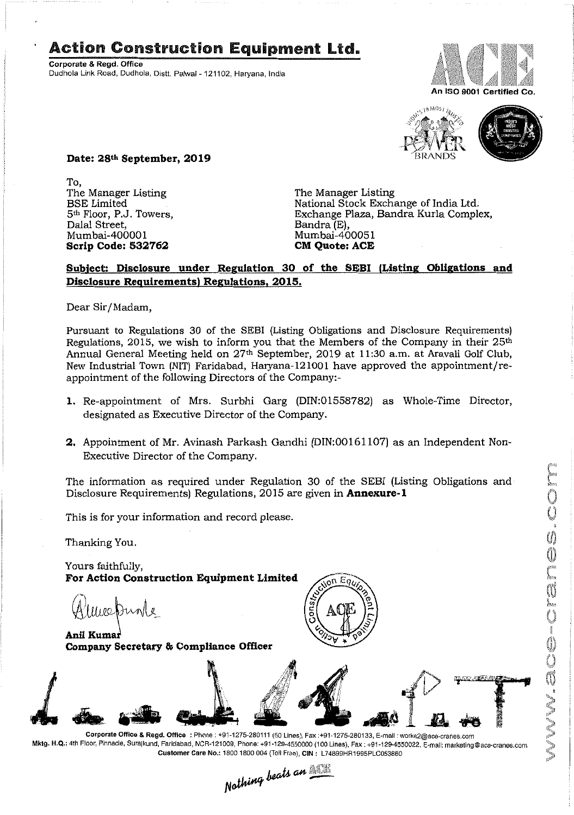## **Action Construction Equipment Ltd.**

Corporate & Regd. Office Dudhola Link Road, Dudhola, Distt. Palwal- 121102, Haryana, India





**Date: 28th September, 2019**

To, The Manager Listing BSE Limited 5th Floor, P.J. Towers, Dalal Street, Mumbai-400001 **Scrip Code: 532762**

The Manager Listing National Stock Exchange of India Ltd; Exchange Plaza, Bandra Kurla Complex, Bandra (E), Mumbai-400051 **CM Quote: ACE** 

## **Subject: Disclosure under Regulation 30 of the SEBI (Listing Obligations and Disclosure Requirements, Regulations, 2015.**

Dear Sir/Madam,

Pursuant to Regulations 30 of the SEBI (Listing Obligations and Disclosure Requirements) Regulations, 2015, we wish to inform you that the Members of the Company in their 25th Annual General Meeting held on 27th September, 2019 at 11:30 a.m. at Aravali Golf Club, New Industrial Town (NIT) Faridabad, Haryana-121001 have approved the appointment/reappointment of the following Directors of the Company:-

- 1. Re-appointment of Mrs. Surbhi Garg (DIN:01558782) as Whole-Time Director, designated as Executive Director of the Company.
- **2.** Appointment of Mr. Avinash Parkash Gandhi (DIN:00161107) as an Independent Non-Executive Director of the Company.

The information as required under Regulation 30 of the SEBI (Listing Obligations and Disclosure Requirements) Regulations, 2015 are given in **Annexure-l**

This is for your information and record please.

Thanking You.

Yours faithfully, **For Action Construction Equipment Limited**

Weakingle ~.

Anil Kumar **CompanySecretary & Compliance Officer**





Mktg. H.Q.: 4th Floor, Pinnacle, Surajkund, Faridabad, NCR-121009, Phone: +91-129-4550000 (100 Lines), Fax : +91-129-4550022, E-mall: marketlng@ace-cranes.com Customer Care No.: 1800 1800 004 (Toll Free), CIN: L74899HR1995PLC053860<br>
Mathima beats an **New York** 

MV.ace-cranes.com